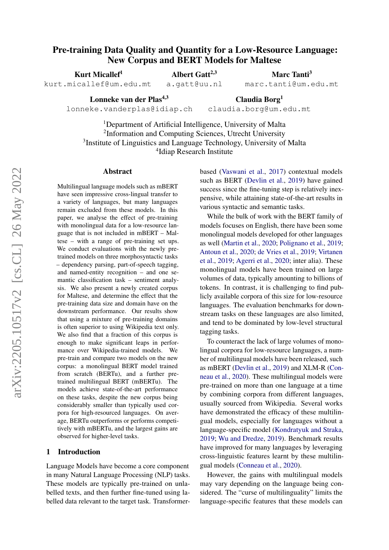# Pre-training Data Quality and Quantity for a Low-Resource Language: New Corpus and BERT Models for Maltese

Kurt Micallef<sup>1</sup>

Albert Gatt $2,3$ 

Marc Tanti<sup>3</sup>

kurt.micallef@um.edu.mt

a.gatt@uu.nl

marc.tanti@um.edu.mt

Lonneke van der Plas<sup>4,3</sup> lonneke.vanderplas@idiap.ch

Claudia Borg<sup>1</sup> claudia.borg@um.edu.mt

<sup>1</sup>Department of Artificial Intelligence, University of Malta <sup>2</sup>Information and Computing Sciences, Utrecht University <sup>3</sup>Institute of Linguistics and Language Technology, University of Malta 4 Idiap Research Institute

#### Abstract

Multilingual language models such as mBERT have seen impressive cross-lingual transfer to a variety of languages, but many languages remain excluded from these models. In this paper, we analyse the effect of pre-training with monolingual data for a low-resource language that is not included in mBERT – Maltese – with a range of pre-training set ups. We conduct evaluations with the newly pretrained models on three morphosyntactic tasks – dependency parsing, part-of-speech tagging, and named-entity recognition – and one semantic classification task – sentiment analysis. We also present a newly created corpus for Maltese, and determine the effect that the pre-training data size and domain have on the downstream performance. Our results show that using a mixture of pre-training domains is often superior to using Wikipedia text only. We also find that a fraction of this corpus is enough to make significant leaps in performance over Wikipedia-trained models. We pre-train and compare two models on the new corpus: a monolingual BERT model trained from scratch (BERTu), and a further pretrained multilingual BERT (mBERTu). The models achieve state-of-the-art performance on these tasks, despite the new corpus being considerably smaller than typically used corpora for high-resourced languages. On average, BERTu outperforms or performs competitively with mBERTu, and the largest gains are observed for higher-level tasks.

### 1 Introduction

Language Models have become a core component in many Natural Language Processing (NLP) tasks. These models are typically pre-trained on unlabelled texts, and then further fine-tuned using labelled data relevant to the target task. Transformerbased [\(Vaswani et al.,](#page-10-0) [2017\)](#page-10-0) contextual models such as BERT [\(Devlin et al.,](#page-9-0) [2019\)](#page-9-0) have gained success since the fine-tuning step is relatively inexpensive, while attaining state-of-the-art results in various syntactic and semantic tasks.

While the bulk of work with the BERT family of models focuses on English, there have been some monolingual models developed for other languages as well [\(Martin et al.,](#page-10-1) [2020;](#page-10-1) [Polignano et al.,](#page-10-2) [2019;](#page-10-2) [Antoun et al.,](#page-8-0) [2020;](#page-8-0) [de Vries et al.,](#page-9-1) [2019;](#page-9-1) [Virtanen](#page-10-3) [et al.,](#page-10-3) [2019;](#page-10-3) [Agerri et al.,](#page-8-1) [2020;](#page-8-1) inter alia). These monolingual models have been trained on large volumes of data, typically amounting to billions of tokens. In contrast, it is challenging to find publicly available corpora of this size for low-resource languages. The evaluation benchmarks for downstream tasks on these languages are also limited, and tend to be dominated by low-level structural tagging tasks.

To counteract the lack of large volumes of monolingual corpora for low-resource languages, a number of multilingual models have been released, such as mBERT [\(Devlin et al.,](#page-9-0) [2019\)](#page-9-0) and XLM-R [\(Con](#page-9-2)[neau et al.,](#page-9-2) [2020\)](#page-9-2). These multilingual models were pre-trained on more than one language at a time by combining corpora from different languages, usually sourced from Wikipedia. Several works have demonstrated the efficacy of these multilingual models, especially for languages without a language-specific model [\(Kondratyuk and Straka,](#page-9-3) [2019;](#page-9-3) [Wu and Dredze,](#page-10-4) [2019\)](#page-10-4). Benchmark results have improved for many languages by leveraging cross-linguistic features learnt by these multilingual models [\(Conneau et al.,](#page-9-2) [2020\)](#page-9-2).

However, the gains with multilingual models may vary depending on the language being considered. The "curse of multilinguality" limits the language-specific features that these models can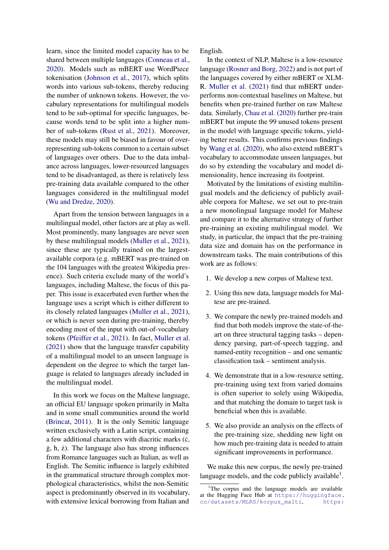learn, since the limited model capacity has to be shared between multiple languages [\(Conneau et al.,](#page-9-2) [2020\)](#page-9-2). Models such as mBERT use WordPiece tokenisation [\(Johnson et al.,](#page-9-4) [2017\)](#page-9-4), which splits words into various sub-tokens, thereby reducing the number of unknown tokens. However, the vocabulary representations for multilingual models tend to be sub-optimal for specific languages, because words tend to be split into a higher number of sub-tokens [\(Rust et al.,](#page-10-5) [2021\)](#page-10-5). Moreover, these models may still be biased in favour of overrepresenting sub-tokens common to a certain subset of languages over others. Due to the data imbalance across languages, lower-resourced languages tend to be disadvantaged, as there is relatively less pre-training data available compared to the other languages considered in the multilingual model [\(Wu and Dredze,](#page-11-0) [2020\)](#page-11-0).

Apart from the tension between languages in a multilingual model, other factors are at play as well. Most prominently, many languages are never seen by these multilingual models [\(Muller et al.,](#page-10-6) [2021\)](#page-10-6), since these are typically trained on the largestavailable corpora (e.g. mBERT was pre-trained on the 104 languages with the greatest Wikipedia presence). Such criteria exclude many of the world's languages, including Maltese, the focus of this paper. This issue is exacerbated even further when the language uses a script which is either different to its closely related languages [\(Muller et al.,](#page-10-6) [2021\)](#page-10-6), or which is never seen during pre-training, thereby encoding most of the input with out-of-vocabulary tokens [\(Pfeiffer et al.,](#page-10-7) [2021\)](#page-10-7). In fact, [Muller et al.](#page-10-6) [\(2021\)](#page-10-6) show that the language transfer capability of a multilingual model to an unseen language is dependent on the degree to which the target language is related to languages already included in the multilingual model.

In this work we focus on the Maltese language, an official EU language spoken primarily in Malta and in some small communities around the world [\(Brincat,](#page-8-2) [2011\)](#page-8-2). It is the only Semitic language written exclusively with a Latin script, containing a few additional characters with diacritic marks  $(c,$  $\dot{g}$ ,  $\dot{h}$ ,  $\dot{z}$ ). The language also has strong influences from Romance languages such as Italian, as well as English. The Semitic influence is largely exhibited in the grammatical structure through complex morphological characteristics, whilst the non-Semitic aspect is predominantly observed in its vocabulary, with extensive lexical borrowing from Italian and

English.

In the context of NLP, Maltese is a low-resource language [\(Rosner and Borg,](#page-10-8) [2022\)](#page-10-8) and is not part of the languages covered by either mBERT or XLM-R. [Muller et al.](#page-10-6) [\(2021\)](#page-10-6) find that mBERT underperforms non-contextual baselines on Maltese, but benefits when pre-trained further on raw Maltese data. Similarly, [Chau et al.](#page-9-5) [\(2020\)](#page-9-5) further pre-train mBERT but impute the 99 unused tokens present in the model with language specific tokens, yielding better results. This confirms previous findings by [Wang et al.](#page-10-9) [\(2020\)](#page-10-9), who also extend mBERT's vocabulary to accommodate unseen languages, but do so by extending the vocabulary and model dimensionality, hence increasing its footprint.

Motivated by the limitations of existing multilingual models and the deficiency of publicly available corpora for Maltese, we set out to pre-train a new monolingual language model for Maltese and compare it to the alternative strategy of further pre-training an existing multilingual model. We study, in particular, the impact that the pre-training data size and domain has on the performance in downstream tasks. The main contributions of this work are as follows:

- 1. We develop a new corpus of Maltese text.
- 2. Using this new data, language models for Maltese are pre-trained.
- 3. We compare the newly pre-trained models and find that both models improve the state-of-theart on three structural tagging tasks – dependency parsing, part-of-speech tagging, and named-entity recognition – and one semantic classification task – sentiment analysis.
- 4. We demonstrate that in a low-resource setting, pre-training using text from varied domains is often superior to solely using Wikipedia, and that matching the domain to target task is beneficial when this is available.
- 5. We also provide an analysis on the effects of the pre-training size, shedding new light on how much pre-training data is needed to attain significant improvements in performance.

We make this new corpus, the newly pre-trained language models, and the code publicly available $<sup>1</sup>$  $<sup>1</sup>$  $<sup>1</sup>$ .</sup>

<span id="page-1-0"></span><sup>&</sup>lt;sup>1</sup>The corpus and the language models are available at the Hugging Face Hub at [https://huggingface.](https://huggingface.co/datasets/MLRS/korpus_malti) [co/datasets/MLRS/korpus\\_malti](https://huggingface.co/datasets/MLRS/korpus_malti), [https:](https://huggingface.co/MLRS/BERTu)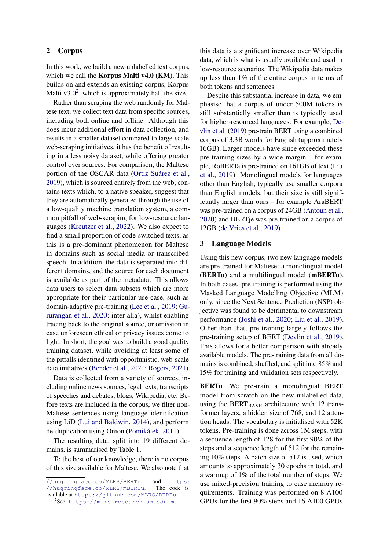# [2 Corpus](https://huggingface.co/MLRS/BERTu)

[In this work, we build a new unlabelled text corpus,](https://huggingface.co/MLRS/BERTu) which we call the **[Korpus Malti v4.0 \(KM\)](https://huggingface.co/MLRS/BERTu)**. This [builds on and extends an existing corpus, Korpus](https://huggingface.co/MLRS/BERTu) Malti  $v3.0^2$  $v3.0^2$ [, which is approximately half the size.](https://huggingface.co/MLRS/BERTu)

[Rather than scraping the web randomly for Mal](https://huggingface.co/MLRS/BERTu)[tese text, we collect text data from specific sources,](https://huggingface.co/MLRS/BERTu) [including both online and offline. Although this](https://huggingface.co/MLRS/BERTu) [does incur additional effort in data collection, and](https://huggingface.co/MLRS/BERTu) [results in a smaller dataset compared to large-scale](https://huggingface.co/MLRS/BERTu) [web-scraping initiatives, it has the benefit of result](https://huggingface.co/MLRS/BERTu)[ing in a less noisy dataset, while offering greater](https://huggingface.co/MLRS/BERTu) [control over sources. For comparison, the Maltese](https://huggingface.co/MLRS/BERTu) [portion of the OSCAR data \(Ortiz Suárez et al.,](https://huggingface.co/MLRS/BERTu) [2019\), which is sourced entirely from the web, con](https://huggingface.co/MLRS/BERTu)[tains texts which, to a native speaker, suggest that](https://huggingface.co/MLRS/BERTu) [they are automatically generated through the use of](https://huggingface.co/MLRS/BERTu) [a low-quality machine translation system, a com](https://huggingface.co/MLRS/BERTu)[mon pitfall of web-scraping for low-resource lan](https://huggingface.co/MLRS/BERTu)guages [\(Kreutzer et al.,](#page-9-6) [2022\). We also expect to](https://huggingface.co/MLRS/BERTu) [find a small proportion of code-switched texts, as](https://huggingface.co/MLRS/BERTu) [this is a pre-dominant phenomenon for Maltese](https://huggingface.co/MLRS/BERTu) [in domains such as social media or transcribed](https://huggingface.co/MLRS/BERTu) [speech. In addition, the data is separated into dif](https://huggingface.co/MLRS/BERTu)[ferent domains, and the source for each document](https://huggingface.co/MLRS/BERTu) [is available as part of the metadata. This allows](https://huggingface.co/MLRS/BERTu) [data users to select data subsets which are more](https://huggingface.co/MLRS/BERTu) [appropriate for their particular use-case, such as](https://huggingface.co/MLRS/BERTu) [domain-adaptive pre-training \(Lee et al.,](https://huggingface.co/MLRS/BERTu) [2019;](#page-9-7) [Gu](#page-9-8)[rurangan et al.,](#page-9-8) [2020; inter alia\), whilst enabling](https://huggingface.co/MLRS/BERTu) [tracing back to the original source, or omission in](https://huggingface.co/MLRS/BERTu) [case unforeseen ethical or privacy issues come to](https://huggingface.co/MLRS/BERTu) [light. In short, the goal was to build a good quality](https://huggingface.co/MLRS/BERTu) [training dataset, while avoiding at least some of](https://huggingface.co/MLRS/BERTu) [the pitfalls identified with opportunistic, web-scale](https://huggingface.co/MLRS/BERTu) [data initiatives \(Bender et al.,](https://huggingface.co/MLRS/BERTu) [2021;](#page-8-3) [Rogers,](#page-10-11) [2021\)](#page-10-11).

[Data is collected from a variety of sources, in](https://huggingface.co/MLRS/BERTu)[cluding online news sources, legal texts, transcripts](https://huggingface.co/MLRS/BERTu) [of speeches and debates, blogs, Wikipedia, etc. Be](https://huggingface.co/MLRS/BERTu)[fore texts are included in the corpus, we filter non-](https://huggingface.co/MLRS/BERTu)[Maltese sentences using language identification](https://huggingface.co/MLRS/BERTu) [using LiD \(Lui and Baldwin,](https://huggingface.co/MLRS/BERTu) [2014\)](#page-10-12), and perform [de-duplication using Onion \(Pomikálek,](https://huggingface.co/MLRS/BERTu) [2011\)](#page-10-13).

[The resulting data, split into 19 different do](https://huggingface.co/MLRS/BERTu)[mains, is summarised by Table](https://huggingface.co/MLRS/BERTu) [1.](#page-3-0)

[To the best of our knowledge, there is no corpus](https://huggingface.co/MLRS/BERTu) [of this size available for Maltese. We also note that](https://huggingface.co/MLRS/BERTu)

[//huggingface.co/MLRS/BERTu](https://huggingface.co/MLRS/BERTu), and [https:](https://huggingface.co/MLRS/mBERTu)<br>//huggingface.co/MLRS/mBERTu. The code is [//huggingface.co/MLRS/mBERTu](https://huggingface.co/MLRS/mBERTu). available at <https://github.com/MLRS/BERTu>.

this data is a significant increase over Wikipedia data, which is what is usually available and used in low-resource scenarios. The Wikipedia data makes up less than 1% of the entire corpus in terms of both tokens and sentences.

Despite this substantial increase in data, we emphasise that a corpus of under 500M tokens is still substantially smaller than is typically used for higher-resourced languages. For example, [De](#page-9-0)[vlin et al.](#page-9-0) [\(2019\)](#page-9-0) pre-train BERT using a combined corpus of 3.3B words for English (approximately 16GB). Larger models have since exceeded these pre-training sizes by a wide margin – for example, RoBERTa is pre-trained on 161GB of text [\(Liu](#page-9-9) [et al.,](#page-9-9) [2019\)](#page-9-9). Monolingual models for languages other than English, typically use smaller corpora than English models, but their size is still significantly larger than ours – for example AraBERT was pre-trained on a corpus of 24GB [\(Antoun et al.,](#page-8-0) [2020\)](#page-8-0) and BERTje was pre-trained on a corpus of 12GB [\(de Vries et al.,](#page-9-1) [2019\)](#page-9-1).

### <span id="page-2-1"></span>3 Language Models

Using this new corpus, two new language models are pre-trained for Maltese: a monolingual model (BERTu) and a multilingual model (mBERTu). In both cases, pre-training is performed using the Masked Language Modelling Objective (MLM) only, since the Next Sentence Prediction (NSP) objective was found to be detrimental to downstream performance [\(Joshi et al.,](#page-9-10) [2020;](#page-9-10) [Liu et al.,](#page-9-9) [2019\)](#page-9-9). Other than that, pre-training largely follows the pre-training setup of BERT [\(Devlin et al.,](#page-9-0) [2019\)](#page-9-0). This allows for a better comparison with already available models. The pre-training data from all domains is combined, shuffled, and split into 85% and 15% for training and validation sets respectively.

BERTu We pre-train a monolingual BERT model from scratch on the new unlabelled data, using the BERT $_{\text{BASE}}$  architecture with 12 transformer layers, a hidden size of 768, and 12 attention heads. The vocabulary is initialised with 52K tokens. Pre-training is done across 1M steps, with a sequence length of 128 for the first 90% of the steps and a sequence length of 512 for the remaining 10% steps. A batch size of 512 is used, which amounts to approximately 30 epochs in total, and a warmup of 1% of the total number of steps. We use mixed-precision training to ease memory requirements. Training was performed on 8 A100 GPUs for the first 90% steps and 16 A100 GPUs

<span id="page-2-0"></span><sup>&</sup>lt;sup>2</sup>See: <https://mlrs.research.um.edu.mt>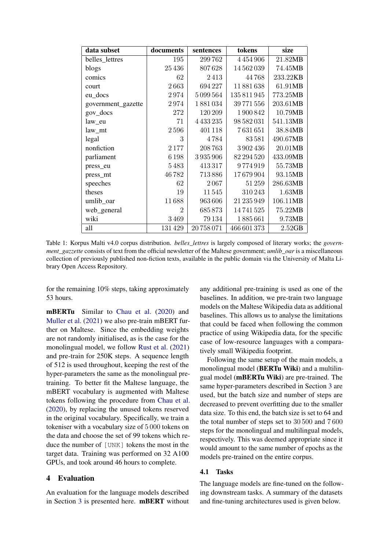<span id="page-3-0"></span>

| data subset        | documents      | sentences | tokens      | size     |
|--------------------|----------------|-----------|-------------|----------|
| belles_lettres     | 195            | 299762    | 4454906     | 21.82MB  |
| blogs              | 25436          | 807628    | 14562039    | 74.45MB  |
| comics             | 62             | 2413      | 44768       | 233.22KB |
| court              | 2663           | 694227    | 11881638    | 61.91MB  |
| eu_docs            | 2974           | 5099564   | 135811945   | 773.25MB |
| government_gazette | 2974           | 1881034   | 39771556    | 203.61MB |
| gov_docs           | 272            | 120209    | 1900842     | 10.79MB  |
| law_eu             | 71             | 4433235   | 98 582 031  | 541.13MB |
| law_mt             | 2596           | 401118    | 7631651     | 38.84MB  |
| legal              | 3              | 4784      | 83581       | 490.67MB |
| nonfiction         | 2177           | 208763    | 3902436     | 20.01MB  |
| parliament         | 6198           | 3935906   | 82 294 520  | 433.09MB |
| press_eu           | 5483           | 413317    | 9774919     | 55.73MB  |
| press_mt           | 46782          | 713886    | 17679904    | 93.15MB  |
| speeches           | 62             | 2067      | 51259       | 286.63MB |
| theses             | 19             | 11545     | 310243      | 1.63MB   |
| umlib_oar          | 11688          | 963606    | 21 235 949  | 106.11MB |
| web_general        | $\overline{2}$ | 685873    | 14741525    | 75.22MB  |
| wiki               | 3469           | 79134     | 1885661     | 9.73MB   |
| all                | 131429         | 20758071  | 466 601 373 | 2.52GB   |

Table 1: Korpus Malti v4.0 corpus distribution. *belles\_lettres* is largely composed of literary works; the *government\_gazzette* consists of text from the official newsletter of the Maltese government; *umlib\_oar* is a miscellaneous collection of previously published non-fiction texts, available in the public domain via the University of Malta Library Open Access Repository.

for the remaining 10% steps, taking approximately 53 hours.

mBERTu Similar to [Chau et al.](#page-9-5) [\(2020\)](#page-9-5) and [Muller et al.](#page-10-6) [\(2021\)](#page-10-6) we also pre-train mBERT further on Maltese. Since the embedding weights are not randomly initialised, as is the case for the monolingual model, we follow [Rust et al.](#page-10-5) [\(2021\)](#page-10-5) and pre-train for 250K steps. A sequence length of 512 is used throughout, keeping the rest of the hyper-parameters the same as the monolingual pretraining. To better fit the Maltese language, the mBERT vocabulary is augmented with Maltese tokens following the procedure from [Chau et al.](#page-9-5) [\(2020\)](#page-9-5), by replacing the unused tokens reserved in the original vocabulary. Specifically, we train a tokeniser with a vocabulary size of 5 000 tokens on the data and choose the set of 99 tokens which reduce the number of [UNK] tokens the most in the target data. Training was performed on 32 A100 GPUs, and took around 46 hours to complete.

### <span id="page-3-1"></span>4 Evaluation

An evaluation for the language models described in Section [3](#page-2-1) is presented here. mBERT without any additional pre-training is used as one of the baselines. In addition, we pre-train two language models on the Maltese Wikipedia data as additional baselines. This allows us to analyse the limitations that could be faced when following the common practice of using Wikipedia data, for the specific case of low-resource languages with a comparatively small Wikipedia footprint.

Following the same setup of the main models, a monolingual model (BERTu Wiki) and a multilingual model (mBERTu Wiki) are pre-trained. The same hyper-parameters described in Section [3](#page-2-1) are used, but the batch size and number of steps are decreased to prevent overfitting due to the smaller data size. To this end, the batch size is set to 64 and the total number of steps set to 30 500 and 7 600 steps for the monolingual and multilingual models, respectively. This was deemed appropriate since it would amount to the same number of epochs as the models pre-trained on the entire corpus.

# 4.1 Tasks

The language models are fine-tuned on the following downstream tasks. A summary of the datasets and fine-tuning architectures used is given below.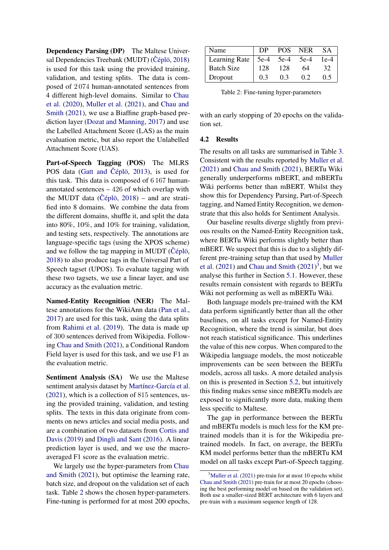Dependency Parsing (DP) The Maltese Univer-sal Dependencies Treebank (MUDT) (Čéplö, [2018\)](#page-8-4) is used for this task using the provided training, validation, and testing splits. The data is composed of 2 074 human-annotated sentences from 4 different high-level domains. Similar to [Chau](#page-9-5) [et al.](#page-9-5) [\(2020\)](#page-9-5), [Muller et al.](#page-10-6) [\(2021\)](#page-10-6), and [Chau and](#page-9-11) [Smith](#page-9-11) [\(2021\)](#page-9-11), we use a Biaffine graph-based prediction layer [\(Dozat and Manning,](#page-9-12) [2017\)](#page-9-12) and use the Labelled Attachment Score (LAS) as the main evaluation metric, but also report the Unlabelled Attachment Score (UAS).

Part-of-Speech Tagging (POS) The MLRS POS data [\(Gatt and](#page-9-13) Čéplö, [2013\)](#page-9-13), is used for this task. This data is composed of 6 167 humanannotated sentences – 426 of which overlap with the MUDT data ( $\check{C}$ éplö, [2018\)](#page-8-4) – and are stratified into 8 domains. We combine the data from the different domains, shuffle it, and split the data into 80%, 10%, and 10% for training, validation, and testing sets, respectively. The annotations are language-specific tags (using the XPOS scheme) and we follow the tag mapping in MUDT ( $\check{C}$ éplö, [2018\)](#page-8-4) to also produce tags in the Universal Part of Speech tagset (UPOS). To evaluate tagging with these two tagsets, we use a linear layer, and use accuracy as the evaluation metric.

Named-Entity Recognition (NER) The Maltese annotations for the WikiAnn data [\(Pan et al.,](#page-10-14) [2017\)](#page-10-14) are used for this task, using the data splits from [Rahimi et al.](#page-10-15) [\(2019\)](#page-10-15). The data is made up of 300 sentences derived from Wikipedia. Following [Chau and Smith](#page-9-11) [\(2021\)](#page-9-11), a Conditional Random Field layer is used for this task, and we use F1 as the evaluation metric.

Sentiment Analysis (SA) We use the Maltese sentiment analysis dataset by [Martínez-García et al.](#page-10-16) [\(2021\)](#page-10-16), which is a collection of 815 sentences, using the provided training, validation, and testing splits. The texts in this data originate from comments on news articles and social media posts, and are a combination of two datasets from [Cortis and](#page-9-14) [Davis](#page-9-14) [\(2019\)](#page-9-14) and [Dingli and Sant](#page-9-15) [\(2016\)](#page-9-15). A linear prediction layer is used, and we use the macroaveraged F1 score as the evaluation metric.

We largely use the hyper-parameters from [Chau](#page-9-11) [and Smith](#page-9-11) [\(2021\)](#page-9-11), but optimise the learning rate, batch size, and dropout on the validation set of each task. Table [2](#page-4-0) shows the chosen hyper-parameters. Fine-tuning is performed for at most 200 epochs,

<span id="page-4-0"></span>

| Name                            | DP  | POS - | <b>NER</b> | <b>SA</b> |
|---------------------------------|-----|-------|------------|-----------|
| Learning Rate $\vert$ 5e-4 5e-4 |     |       | $5e-4$     | $1e-4$    |
| <b>Batch Size</b>               | 128 | 128   | 64         | 32        |
| Dropout                         | 0.3 | 0.3   | 0.2        | 0.5       |

Table 2: Fine-tuning hyper-parameters

with an early stopping of 20 epochs on the validation set.

#### <span id="page-4-2"></span>4.2 Results

The results on all tasks are summarised in Table [3.](#page-5-0) Consistent with the results reported by [Muller et al.](#page-10-6) [\(2021\)](#page-10-6) and [Chau and Smith](#page-9-11) [\(2021\)](#page-9-11), BERTu Wiki generally underperforms mBERT, and mBERTu Wiki performs better than mBERT. Whilst they show this for Dependency Parsing, Part-of-Speech tagging, and Named Entity Recognition, we demonstrate that this also holds for Sentiment Analysis.

Our baseline results diverge slightly from previous results on the Named-Entity Recognition task, where BERTu Wiki performs slightly better than mBERT. We suspect that this is due to a slightly different pre-training setup than that used by [Muller](#page-10-6) [et al.](#page-10-6)  $(2021)$  and [Chau and Smith](#page-9-11)  $(2021)^3$  $(2021)^3$ , but we analyse this further in Section [5.1.](#page-5-1) However, these results remain consistent with regards to BERTu Wiki not performing as well as mBERTu Wiki.

Both language models pre-trained with the KM data perform significantly better than all the other baselines, on all tasks except for Named-Entity Recognition, where the trend is similar, but does not reach statistical significance. This underlines the value of this new corpus. When compared to the Wikipedia language models, the most noticeable improvements can be seen between the BERTu models, across all tasks. A more detailed analysis on this is presented in Section [5.2,](#page-6-0) but intuitively this finding makes sense since mBERTu models are exposed to significantly more data, making them less specific to Maltese.

The gap in performance between the BERTu and mBERTu models is much less for the KM pretrained models than it is for the Wikipedia pretrained models. In fact, on average, the BERTu KM model performs better than the mBERTu KM model on all tasks except Part-of-Speech tagging.

<span id="page-4-1"></span> $3$ [Muller et al.](#page-10-6) [\(2021\)](#page-10-6) pre-train for at most 10 epochs whilst [Chau and Smith](#page-9-11) [\(2021\)](#page-9-11) pre-train for at most 20 epochs (choosing the best performing model on based on the validation set). Both use a smaller-sized BERT architecture with 6 layers and pre-train with a maximum sequence length of 128.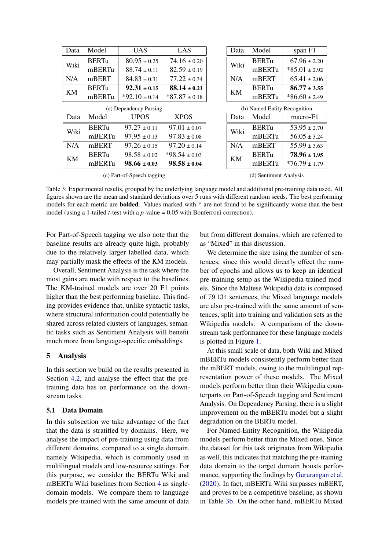<span id="page-5-0"></span>

| Data                       | Model        | <b>UAS</b>        | LAS               |                              | Data      | Model        | span F1           |
|----------------------------|--------------|-------------------|-------------------|------------------------------|-----------|--------------|-------------------|
| Wiki                       | <b>BERTu</b> | $80.95 \pm 0.25$  | $74.16 \pm 0.20$  |                              | Wiki      | <b>BERTu</b> | $67.96 \pm 2.20$  |
|                            | mBERTu       | $88.74 \pm 0.11$  | $82.59 \pm 0.19$  |                              |           | mBERTu       | $*85.01 \pm 2.92$ |
| N/A                        | mBERT        | $84.83 \pm 0.31$  | $77.22 \pm 0.34$  |                              | N/A       | mBERT        | $65.41 \pm 2.06$  |
| KM                         | <b>BERTu</b> | $92.31 \pm 0.15$  | $88.14 \pm 0.21$  |                              | <b>KM</b> | <b>BERTu</b> | $86.77 \pm 3.55$  |
|                            | mBERTu       | $*92.10 \pm 0.14$ | $*87.87 \pm 0.18$ |                              |           | mBERTu       | $*86.60 \pm 2.49$ |
| (a) Dependency Parsing     |              |                   |                   | (b) Named Entity Recognition |           |              |                   |
| Data                       | Model        | <b>UPOS</b>       | <b>XPOS</b>       |                              | Data      | Model        | macro-F1          |
| Wiki                       | <b>BERTu</b> | $97.27 \pm 0.11$  | $97.01 \pm 0.07$  |                              | Wiki      | <b>BERTu</b> | $53.95 \pm 2.70$  |
|                            | mBERTu       | $97.95 \pm 0.13$  | $97.83 \pm 0.08$  |                              |           | mBERTu       | $56.05 \pm 3.24$  |
| N/A                        | mBERT        | $97.26 \pm 0.15$  | $97.20 \pm 0.14$  |                              | N/A       | mBERT        | $55.99 \pm 3.63$  |
| KM                         | <b>BERTu</b> | $98.58 \pm 0.02$  | $*98.54 \pm 0.03$ |                              | <b>KM</b> | <b>BERTu</b> | $78.96 \pm 1.95$  |
|                            | mBERTu       | $98.66 \pm 0.03$  | $98.58 \pm 0.04$  |                              |           | mBERTu       | $*76.79 \pm 1.79$ |
| (c) Part-of-Speech tagging |              |                   |                   | (d) Sentiment Analysis       |           |              |                   |

Table 3: Experimental results, grouped by the underlying language model and additional pre-training data used. All figures shown are the mean and standard deviations over 5 runs with different random seeds. The best performing models for each metric are bolded. Values marked with \* are not found to be significantly worse than the best model (using a 1-tailed *t*-test with a *p*-value = 0.05 with Bonferroni correction).

For Part-of-Speech tagging we also note that the baseline results are already quite high, probably due to the relatively larger labelled data, which may partially mask the effects of the KM models.

Overall, Sentiment Analysis is the task where the most gains are made with respect to the baselines. The KM-trained models are over 20 F1 points higher than the best performing baseline. This finding provides evidence that, unlike syntactic tasks, where structural information could potentially be shared across related clusters of languages, semantic tasks such as Sentiment Analysis will benefit much more from language-specific embeddings.

# 5 Analysis

In this section we build on the results presented in Section [4.2,](#page-4-2) and analyse the effect that the pretraining data has on performance on the downstream tasks.

# <span id="page-5-1"></span>5.1 Data Domain

In this subsection we take advantage of the fact that the data is stratified by domains. Here, we analyse the impact of pre-training using data from different domains, compared to a single domain, namely Wikipedia, which is commonly used in multilingual models and low-resource settings. For this purpose, we consider the BERTu Wiki and mBERTu Wiki baselines from Section [4](#page-3-1) as singledomain models. We compare them to language models pre-trained with the same amount of data

but from different domains, which are referred to as "Mixed" in this discussion.

We determine the size using the number of sentences, since this would directly effect the number of epochs and allows us to keep an identical pre-training setup as the Wikipedia-trained models. Since the Maltese Wikipedia data is composed of 79 134 sentences, the Mixed language models are also pre-trained with the same amount of sentences, split into training and validation sets as the Wikipedia models. A comparison of the downstream task performance for these language models is plotted in Figure [1.](#page-6-1)

At this small scale of data, both Wiki and Mixed mBERTu models consistently perform better than the mBERT models, owing to the multilingual representation power of these models. The Mixed models perform better than their Wikipedia counterparts on Part-of-Speech tagging and Sentiment Analysis. On Dependency Parsing, there is a slight improvement on the mBERTu model but a slight degradation on the BERTu model.

For Named-Entity Recognition, the Wikipedia models perform better than the Mixed ones. Since the dataset for this task originates from Wikipedia as well, this indicates that matching the pre-training data domain to the target domain boosts performance, supporting the findings by [Gururangan et al.](#page-9-8) [\(2020\)](#page-9-8). In fact, mBERTu Wiki surpasses mBERT, and proves to be a competitive baseline, as shown in Table [3b.](#page-5-0) On the other hand, mBERTu Mixed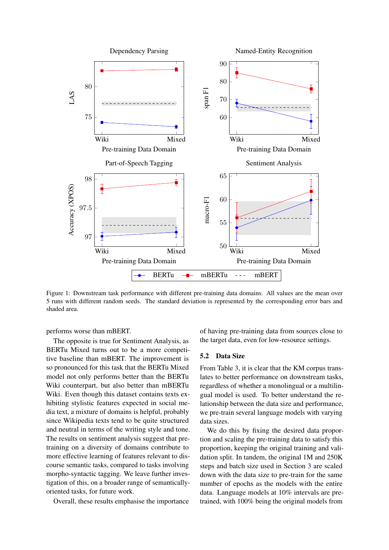<span id="page-6-1"></span>

Figure 1: Downstream task performance with different pre-training data domains. All values are the mean over 5 runs with different random seeds. The standard deviation is represented by the corresponding error bars and shaded area.

performs worse than mBERT.

The opposite is true for Sentiment Analysis, as BERTu Mixed turns out to be a more competitive baseline than mBERT. The improvement is so pronounced for this task that the BERTu Mixed model not only performs better than the BERTu Wiki counterpart, but also better than mBERTu Wiki. Even though this dataset contains texts exhibiting stylistic features expected in social media text, a mixture of domains is helpful, probably since Wikipedia texts tend to be quite structured and neutral in terms of the writing style and tone. The results on sentiment analysis suggest that pretraining on a diversity of domains contribute to more effective learning of features relevant to discourse semantic tasks, compared to tasks involving morpho-syntactic tagging. We leave further investigation of this, on a broader range of semanticallyoriented tasks, for future work.

Overall, these results emphasise the importance

of having pre-training data from sources close to the target data, even for low-resource settings.

### <span id="page-6-0"></span>5.2 Data Size

From Table [3,](#page-5-0) it is clear that the KM corpus translates to better performance on downstream tasks, regardless of whether a monolingual or a multilingual model is used. To better understand the relationship between the data size and performance, we pre-train several language models with varying data sizes.

We do this by fixing the desired data proportion and scaling the pre-training data to satisfy this proportion, keeping the original training and validation split. In tandem, the original 1M and 250K steps and batch size used in Section [3](#page-2-1) are scaled down with the data size to pre-train for the same number of epochs as the models with the entire data. Language models at 10% intervals are pretrained, with 100% being the original models from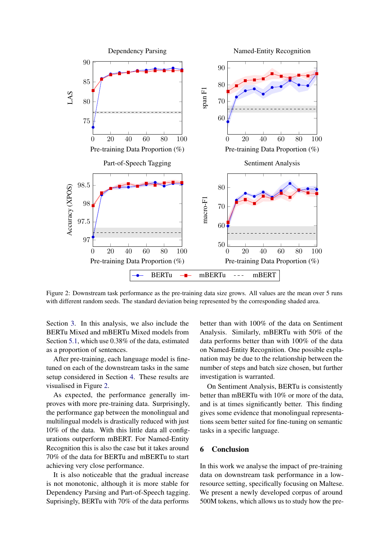<span id="page-7-0"></span>

Figure 2: Downstream task performance as the pre-training data size grows. All values are the mean over 5 runs with different random seeds. The standard deviation being represented by the corresponding shaded area.

Section [3.](#page-2-1) In this analysis, we also include the BERTu Mixed and mBERTu Mixed models from Section [5.1,](#page-5-1) which use 0.38% of the data, estimated as a proportion of sentences.

After pre-training, each language model is finetuned on each of the downstream tasks in the same setup considered in Section [4.](#page-3-1) These results are visualised in Figure [2.](#page-7-0)

As expected, the performance generally improves with more pre-training data. Surprisingly, the performance gap between the monolingual and multilingual models is drastically reduced with just 10% of the data. With this little data all configurations outperform mBERT. For Named-Entity Recognition this is also the case but it takes around 70% of the data for BERTu and mBERTu to start achieving very close performance.

It is also noticeable that the gradual increase is not monotonic, although it is more stable for Dependency Parsing and Part-of-Speech tagging. Suprisingly, BERTu with 70% of the data performs

better than with 100% of the data on Sentiment Analysis. Similarly, mBERTu with 50% of the data performs better than with 100% of the data on Named-Entity Recognition. One possible explanation may be due to the relationship between the number of steps and batch size chosen, but further investigation is warranted.

On Sentiment Analysis, BERTu is consistently better than mBERTu with 10% or more of the data, and is at times significantly better. This finding gives some evidence that monolingual representations seem better suited for fine-tuning on semantic tasks in a specific language.

## 6 Conclusion

In this work we analyse the impact of pre-training data on downstream task performance in a lowresource setting, specifically focusing on Maltese. We present a newly developed corpus of around 500M tokens, which allows us to study how the pre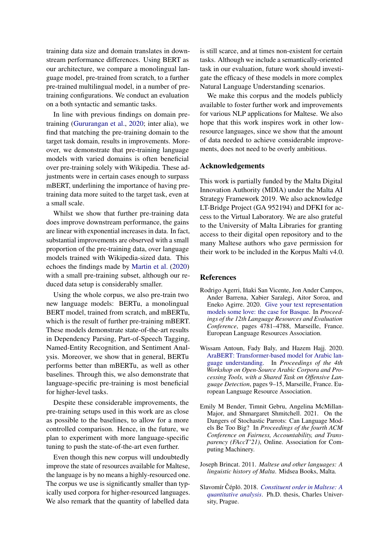training data size and domain translates in downstream performance differences. Using BERT as our architecture, we compare a monolingual language model, pre-trained from scratch, to a further pre-trained multilingual model, in a number of pretraining configurations. We conduct an evaluation on a both syntactic and semantic tasks.

In line with previous findings on domain pretraining [\(Gururangan et al.,](#page-9-8) [2020;](#page-9-8) inter alia), we find that matching the pre-training domain to the target task domain, results in improvements. Moreover, we demonstrate that pre-training language models with varied domains is often beneficial over pre-training solely with Wikipedia. These adjustments were in certain cases enough to surpass mBERT, underlining the importance of having pretraining data more suited to the target task, even at a small scale.

Whilst we show that further pre-training data does improve downstream performance, the gains are linear with exponential increases in data. In fact, substantial improvements are observed with a small proportion of the pre-training data, over language models trained with Wikipedia-sized data. This echoes the findings made by [Martin et al.](#page-10-1) [\(2020\)](#page-10-1) with a small pre-training subset, although our reduced data setup is considerably smaller.

Using the whole corpus, we also pre-train two new language models: BERTu, a monolingual BERT model, trained from scratch, and mBERTu, which is the result of further pre-training mBERT. These models demonstrate state-of-the-art results in Dependency Parsing, Part-of-Speech Tagging, Named-Entity Recognition, and Sentiment Analysis. Moreover, we show that in general, BERTu performs better than mBERTu, as well as other baselines. Through this, we also demonstrate that language-specific pre-training is most beneficial for higher-level tasks.

Despite these considerable improvements, the pre-training setups used in this work are as close as possible to the baselines, to allow for a more controlled comparison. Hence, in the future, we plan to experiment with more language-specific tuning to push the state-of-the-art even further.

Even though this new corpus will undoubtedly improve the state of resources available for Maltese, the language is by no means a highly-resourced one. The corpus we use is significantly smaller than typically used corpora for higher-resourced languages. We also remark that the quantity of labelled data is still scarce, and at times non-existent for certain tasks. Although we include a semantically-oriented task in our evaluation, future work should investigate the efficacy of these models in more complex Natural Language Understanding scenarios.

We make this corpus and the models publicly available to foster further work and improvements for various NLP applications for Maltese. We also hope that this work inspires work in other lowresource languages, since we show that the amount of data needed to achieve considerable improvements, does not need to be overly ambitious.

#### Acknowledgements

This work is partially funded by the Malta Digital Innovation Authority (MDIA) under the Malta AI Strategy Framework 2019. We also acknowledge LT-Bridge Project (GA 952194) and DFKI for access to the Virtual Laboratory. We are also grateful to the University of Malta Libraries for granting access to their digital open repository and to the many Maltese authors who gave permission for their work to be included in the Korpus Malti v4.0.

### **References**

- <span id="page-8-1"></span>Rodrigo Agerri, Iñaki San Vicente, Jon Ander Campos, Ander Barrena, Xabier Saralegi, Aitor Soroa, and Eneko Agirre. 2020. [Give your text representation](https://aclanthology.org/2020.lrec-1.588) [models some love: the case for Basque.](https://aclanthology.org/2020.lrec-1.588) In *Proceedings of the 12th Language Resources and Evaluation Conference*, pages 4781–4788, Marseille, France. European Language Resources Association.
- <span id="page-8-0"></span>Wissam Antoun, Fady Baly, and Hazem Hajj. 2020. [AraBERT: Transformer-based model for Arabic lan](https://aclanthology.org/2020.osact-1.2)[guage understanding.](https://aclanthology.org/2020.osact-1.2) In *Proceedings of the 4th Workshop on Open-Source Arabic Corpora and Processing Tools, with a Shared Task on Offensive Language Detection*, pages 9–15, Marseille, France. European Language Resource Association.
- <span id="page-8-3"></span>Emily M Bender, Timnit Gebru, Angelina McMillan-Major, and Shmargaret Shmitchell. 2021. On the Dangers of Stochastic Parrots: Can Language Models Be Too Big? In *Proceedings of the fourth ACM Conference on Fairness, Accountability, and Transparency (FAccT'21)*, Online. Association for Computing Machinery.
- <span id="page-8-2"></span>Joseph Brincat. 2011. *Maltese and other languages: A linguistic history of Malta*. Midsea Books, Malta.
- <span id="page-8-4"></span>Slavomír Čéplö. 2018. [Constituent order in Maltese: A](https://bulbul.sk/phd/Text/Slavomir_Ceplo-autoreferat.pdf) *[quantitative analysis](https://bulbul.sk/phd/Text/Slavomir_Ceplo-autoreferat.pdf)*. Ph.D. thesis, Charles University, Prague.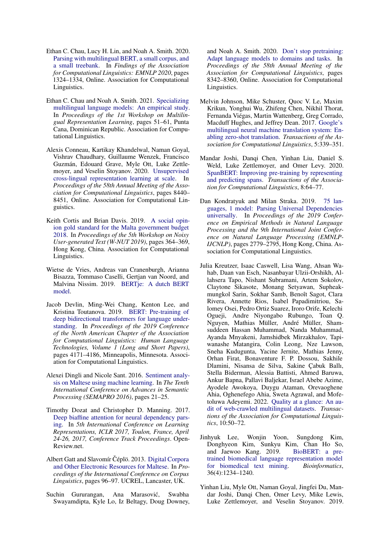- <span id="page-9-5"></span>Ethan C. Chau, Lucy H. Lin, and Noah A. Smith. 2020. [Parsing with multilingual BERT, a small corpus, and](https://doi.org/10.18653/v1/2020.findings-emnlp.118) [a small treebank.](https://doi.org/10.18653/v1/2020.findings-emnlp.118) In *Findings of the Association for Computational Linguistics: EMNLP 2020*, pages 1324–1334, Online. Association for Computational Linguistics.
- <span id="page-9-11"></span>Ethan C. Chau and Noah A. Smith. 2021. [Specializing](https://doi.org/10.18653/v1/2021.mrl-1.5) [multilingual language models: An empirical study.](https://doi.org/10.18653/v1/2021.mrl-1.5) In *Proceedings of the 1st Workshop on Multilingual Representation Learning*, pages 51–61, Punta Cana, Dominican Republic. Association for Computational Linguistics.
- <span id="page-9-2"></span>Alexis Conneau, Kartikay Khandelwal, Naman Goyal, Vishrav Chaudhary, Guillaume Wenzek, Francisco Guzmán, Edouard Grave, Myle Ott, Luke Zettlemoyer, and Veselin Stoyanov. 2020. [Unsupervised](https://doi.org/10.18653/v1/2020.acl-main.747) [cross-lingual representation learning at scale.](https://doi.org/10.18653/v1/2020.acl-main.747) In *Proceedings of the 58th Annual Meeting of the Association for Computational Linguistics*, pages 8440– 8451, Online. Association for Computational Linguistics.
- <span id="page-9-14"></span>Keith Cortis and Brian Davis. 2019. [A social opin](https://doi.org/10.18653/v1/D19-5547)[ion gold standard for the Malta government budget](https://doi.org/10.18653/v1/D19-5547) [2018.](https://doi.org/10.18653/v1/D19-5547) In *Proceedings of the 5th Workshop on Noisy User-generated Text (W-NUT 2019)*, pages 364–369, Hong Kong, China. Association for Computational Linguistics.
- <span id="page-9-1"></span>Wietse de Vries, Andreas van Cranenburgh, Arianna Bisazza, Tommaso Caselli, Gertjan van Noord, and Malvina Nissim. 2019. [BERTje: A dutch BERT](https://doi.org/10.48550/ARXIV.1912.09582) [model.](https://doi.org/10.48550/ARXIV.1912.09582)
- <span id="page-9-0"></span>Jacob Devlin, Ming-Wei Chang, Kenton Lee, and Kristina Toutanova. 2019. [BERT: Pre-training of](https://doi.org/10.18653/v1/N19-1423) [deep bidirectional transformers for language under](https://doi.org/10.18653/v1/N19-1423)[standing.](https://doi.org/10.18653/v1/N19-1423) In *Proceedings of the 2019 Conference of the North American Chapter of the Association for Computational Linguistics: Human Language Technologies, Volume 1 (Long and Short Papers)*, pages 4171–4186, Minneapolis, Minnesota. Association for Computational Linguistics.
- <span id="page-9-15"></span>Alexei Dingli and Nicole Sant. 2016. [Sentiment analy](https://www.thinkmind.org/articles/semapro_2016_1_40_30007.pdf)[sis on Maltese using machine learning.](https://www.thinkmind.org/articles/semapro_2016_1_40_30007.pdf) In *The Tenth International Conference on Advances in Semantic Processing (SEMAPRO 2016)*, pages 21–25.
- <span id="page-9-12"></span>Timothy Dozat and Christopher D. Manning. 2017. [Deep biaffine attention for neural dependency pars](https://openreview.net/forum?id=Hk95PK9le)[ing.](https://openreview.net/forum?id=Hk95PK9le) In *5th International Conference on Learning Representations, ICLR 2017, Toulon, France, April 24-26, 2017, Conference Track Proceedings*. Open-Review.net.
- <span id="page-9-13"></span>Albert Gatt and Slavomír Čéplö. 2013. [Digital Corpora](https://www.bulbul.sk/writings/CL2013-expanded-abstract-AG_SC.pdf) [and Other Electronic Resources for Maltese.](https://www.bulbul.sk/writings/CL2013-expanded-abstract-AG_SC.pdf) In *Proceedings of the International Conference on Corpus Linguistics*, pages 96–97. UCREL, Lancaster, UK.
- <span id="page-9-8"></span>Suchin Gururangan, Ana Marasović, Swabha Swayamdipta, Kyle Lo, Iz Beltagy, Doug Downey,

and Noah A. Smith. 2020. [Don't stop pretraining:](https://doi.org/10.18653/v1/2020.acl-main.740) [Adapt language models to domains and tasks.](https://doi.org/10.18653/v1/2020.acl-main.740) In *Proceedings of the 58th Annual Meeting of the Association for Computational Linguistics*, pages 8342–8360, Online. Association for Computational Linguistics.

- <span id="page-9-4"></span>Melvin Johnson, Mike Schuster, Quoc V. Le, Maxim Krikun, Yonghui Wu, Zhifeng Chen, Nikhil Thorat, Fernanda Viégas, Martin Wattenberg, Greg Corrado, Macduff Hughes, and Jeffrey Dean. 2017. [Google's](https://doi.org/10.1162/tacl_a_00065) [multilingual neural machine translation system: En](https://doi.org/10.1162/tacl_a_00065)[abling zero-shot translation.](https://doi.org/10.1162/tacl_a_00065) *Transactions of the Association for Computational Linguistics*, 5:339–351.
- <span id="page-9-10"></span>Mandar Joshi, Danqi Chen, Yinhan Liu, Daniel S. Weld, Luke Zettlemoyer, and Omer Levy. 2020. [SpanBERT: Improving pre-training by representing](https://doi.org/10.1162/tacl_a_00300) [and predicting spans.](https://doi.org/10.1162/tacl_a_00300) *Transactions of the Association for Computational Linguistics*, 8:64–77.
- <span id="page-9-3"></span>Dan Kondratyuk and Milan Straka. 2019. [75 lan](https://doi.org/10.18653/v1/D19-1279)[guages, 1 model: Parsing Universal Dependencies](https://doi.org/10.18653/v1/D19-1279) [universally.](https://doi.org/10.18653/v1/D19-1279) In *Proceedings of the 2019 Conference on Empirical Methods in Natural Language Processing and the 9th International Joint Conference on Natural Language Processing (EMNLP-IJCNLP)*, pages 2779–2795, Hong Kong, China. Association for Computational Linguistics.
- <span id="page-9-6"></span>Julia Kreutzer, Isaac Caswell, Lisa Wang, Ahsan Wahab, Daan van Esch, Nasanbayar Ulzii-Orshikh, Allahsera Tapo, Nishant Subramani, Artem Sokolov, Claytone Sikasote, Monang Setyawan, Supheakmungkol Sarin, Sokhar Samb, Benoît Sagot, Clara Rivera, Annette Rios, Isabel Papadimitriou, Salomey Osei, Pedro Ortiz Suarez, Iroro Orife, Kelechi Ogueji, Andre Niyongabo Rubungo, Toan Q. Nguyen, Mathias Müller, André Müller, Shamsuddeen Hassan Muhammad, Nanda Muhammad, Ayanda Mnyakeni, Jamshidbek Mirzakhalov, Tapiwanashe Matangira, Colin Leong, Nze Lawson, Sneha Kudugunta, Yacine Jernite, Mathias Jenny, Orhan Firat, Bonaventure F. P. Dossou, Sakhile Dlamini, Nisansa de Silva, Sakine Çabuk Ballı, Stella Biderman, Alessia Battisti, Ahmed Baruwa, Ankur Bapna, Pallavi Baljekar, Israel Abebe Azime, Ayodele Awokoya, Duygu Ataman, Orevaoghene Ahia, Oghenefego Ahia, Sweta Agrawal, and Mofetoluwa Adeyemi. 2022. [Quality at a glance: An au](https://doi.org/10.1162/tacl_a_00447)[dit of web-crawled multilingual datasets.](https://doi.org/10.1162/tacl_a_00447) *Transactions of the Association for Computational Linguistics*, 10:50–72.
- <span id="page-9-7"></span>Jinhyuk Lee, Wonjin Yoon, Sungdong Kim, Donghyeon Kim, Sunkyu Kim, Chan Ho So, and Jaewoo Kang. 2019. [BioBERT: a pre](https://doi.org/10.1093/bioinformatics/btz682)[trained biomedical language representation model](https://doi.org/10.1093/bioinformatics/btz682) [for biomedical text mining.](https://doi.org/10.1093/bioinformatics/btz682) *Bioinformatics*, 36(4):1234–1240.
- <span id="page-9-9"></span>Yinhan Liu, Myle Ott, Naman Goyal, Jingfei Du, Mandar Joshi, Danqi Chen, Omer Levy, Mike Lewis, Luke Zettlemoyer, and Veselin Stoyanov. 2019.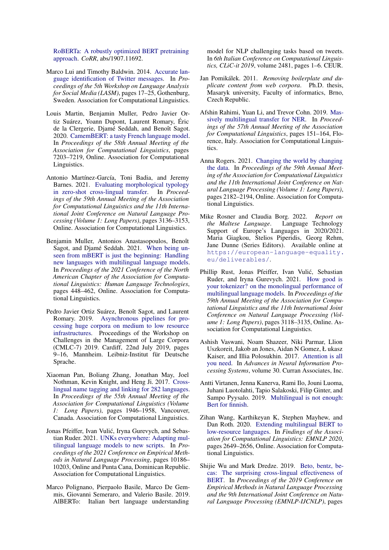[RoBERTa: A robustly optimized BERT pretraining](http://arxiv.org/abs/1907.11692) [approach.](http://arxiv.org/abs/1907.11692) *CoRR*, abs/1907.11692.

- <span id="page-10-12"></span>Marco Lui and Timothy Baldwin. 2014. [Accurate lan](https://doi.org/10.3115/v1/W14-1303)[guage identification of Twitter messages.](https://doi.org/10.3115/v1/W14-1303) In *Proceedings of the 5th Workshop on Language Analysis for Social Media (LASM)*, pages 17–25, Gothenburg, Sweden. Association for Computational Linguistics.
- <span id="page-10-1"></span>Louis Martin, Benjamin Muller, Pedro Javier Ortiz Suárez, Yoann Dupont, Laurent Romary, Éric de la Clergerie, Djamé Seddah, and Benoît Sagot. 2020. [CamemBERT: a tasty French language model.](https://doi.org/10.18653/v1/2020.acl-main.645) In *Proceedings of the 58th Annual Meeting of the Association for Computational Linguistics*, pages 7203–7219, Online. Association for Computational Linguistics.
- <span id="page-10-16"></span>Antonio Martínez-García, Toni Badia, and Jeremy Barnes. 2021. [Evaluating morphological typology](https://doi.org/10.18653/v1/2021.acl-long.244) [in zero-shot cross-lingual transfer.](https://doi.org/10.18653/v1/2021.acl-long.244) In *Proceedings of the 59th Annual Meeting of the Association for Computational Linguistics and the 11th International Joint Conference on Natural Language Processing (Volume 1: Long Papers)*, pages 3136–3153, Online. Association for Computational Linguistics.
- <span id="page-10-6"></span>Benjamin Muller, Antonios Anastasopoulos, Benoît Sagot, and Djamé Seddah. 2021. [When being un](https://doi.org/10.18653/v1/2021.naacl-main.38)[seen from mBERT is just the beginning: Handling](https://doi.org/10.18653/v1/2021.naacl-main.38) [new languages with multilingual language models.](https://doi.org/10.18653/v1/2021.naacl-main.38) In *Proceedings of the 2021 Conference of the North American Chapter of the Association for Computational Linguistics: Human Language Technologies*, pages 448–462, Online. Association for Computational Linguistics.
- <span id="page-10-10"></span>Pedro Javier Ortiz Suárez, Benoît Sagot, and Laurent Romary. 2019. [Asynchronous pipelines for pro](https://doi.org/10.14618/ids-pub-9021)[cessing huge corpora on medium to low resource](https://doi.org/10.14618/ids-pub-9021) [infrastructures.](https://doi.org/10.14618/ids-pub-9021) Proceedings of the Workshop on Challenges in the Management of Large Corpora (CMLC-7) 2019. Cardiff, 22nd July 2019, pages 9–16, Mannheim. Leibniz-Institut für Deutsche Sprache.
- <span id="page-10-14"></span>Xiaoman Pan, Boliang Zhang, Jonathan May, Joel Nothman, Kevin Knight, and Heng Ji. 2017. [Cross](https://doi.org/10.18653/v1/P17-1178)[lingual name tagging and linking for 282 languages.](https://doi.org/10.18653/v1/P17-1178) In *Proceedings of the 55th Annual Meeting of the Association for Computational Linguistics (Volume 1: Long Papers)*, pages 1946–1958, Vancouver, Canada. Association for Computational Linguistics.
- <span id="page-10-7"></span>Jonas Pfeiffer, Ivan Vulić, Iryna Gurevych, and Sebastian Ruder. 2021. [UNKs everywhere: Adapting mul](https://doi.org/10.18653/v1/2021.emnlp-main.800)[tilingual language models to new scripts.](https://doi.org/10.18653/v1/2021.emnlp-main.800) In *Proceedings of the 2021 Conference on Empirical Methods in Natural Language Processing*, pages 10186– 10203, Online and Punta Cana, Dominican Republic. Association for Computational Linguistics.
- <span id="page-10-2"></span>Marco Polignano, Pierpaolo Basile, Marco De Gemmis, Giovanni Semeraro, and Valerio Basile. 2019. AlBERTo: Italian bert language understanding

model for NLP challenging tasks based on tweets. In *6th Italian Conference on Computational Linguistics, CLiC-it 2019*, volume 2481, pages 1–6. CEUR.

- <span id="page-10-13"></span>Jan Pomikálek. 2011. *Removing boilerplate and duplicate content from web corpora*. Ph.D. thesis, Masaryk university, Faculty of informatics, Brno, Czech Republic.
- <span id="page-10-15"></span>Afshin Rahimi, Yuan Li, and Trevor Cohn. 2019. [Mas](https://doi.org/10.18653/v1/P19-1015)[sively multilingual transfer for NER.](https://doi.org/10.18653/v1/P19-1015) In *Proceedings of the 57th Annual Meeting of the Association for Computational Linguistics*, pages 151–164, Florence, Italy. Association for Computational Linguistics.
- <span id="page-10-11"></span>Anna Rogers. 2021. [Changing the world by changing](https://doi.org/10.18653/v1/2021.acl-long.170) [the data.](https://doi.org/10.18653/v1/2021.acl-long.170) In *Proceedings of the 59th Annual Meeting of the Association for Computational Linguistics and the 11th International Joint Conference on Natural Language Processing (Volume 1: Long Papers)*, pages 2182–2194, Online. Association for Computational Linguistics.
- <span id="page-10-8"></span>Mike Rosner and Claudia Borg. 2022. *Report on the Maltese Language*. Language Technology Support of Europe's Languages in 2020/2021. Maria Giagkou, Stelios Piperidis, Georg Rehm, Jane Dunne (Series Editors). Available online at [https://european-language-equality.](https://european-language-equality.eu/deliverables/) [eu/deliverables/](https://european-language-equality.eu/deliverables/).
- <span id="page-10-5"></span>Phillip Rust, Jonas Pfeiffer, Ivan Vulic, Sebastian ´ Ruder, and Iryna Gurevych. 2021. [How good is](https://doi.org/10.18653/v1/2021.acl-long.243) [your tokenizer? on the monolingual performance of](https://doi.org/10.18653/v1/2021.acl-long.243) [multilingual language models.](https://doi.org/10.18653/v1/2021.acl-long.243) In *Proceedings of the 59th Annual Meeting of the Association for Computational Linguistics and the 11th International Joint Conference on Natural Language Processing (Volume 1: Long Papers)*, pages 3118–3135, Online. Association for Computational Linguistics.
- <span id="page-10-0"></span>Ashish Vaswani, Noam Shazeer, Niki Parmar, Llion Uszkoreit, Jakob an Jones, Aidan N Gomez, Ł ukasz Kaiser, and Illia Polosukhin. 2017. [Attention is all](https://proceedings.neurips.cc/paper/2017/file/3f5ee243547dee91fbd053c1c4a845aa-Paper.pdf) [you need.](https://proceedings.neurips.cc/paper/2017/file/3f5ee243547dee91fbd053c1c4a845aa-Paper.pdf) In *Advances in Neural Information Processing Systems*, volume 30. Curran Associates, Inc.
- <span id="page-10-3"></span>Antti Virtanen, Jenna Kanerva, Rami Ilo, Jouni Luoma, Juhani Luotolahti, Tapio Salakoski, Filip Ginter, and Sampo Pyysalo. 2019. [Multilingual is not enough:](https://doi.org/10.48550/ARXIV.1912.07076) [Bert for finnish.](https://doi.org/10.48550/ARXIV.1912.07076)
- <span id="page-10-9"></span>Zihan Wang, Karthikeyan K, Stephen Mayhew, and Dan Roth. 2020. [Extending multilingual BERT to](https://doi.org/10.18653/v1/2020.findings-emnlp.240) [low-resource languages.](https://doi.org/10.18653/v1/2020.findings-emnlp.240) In *Findings of the Association for Computational Linguistics: EMNLP 2020*, pages 2649–2656, Online. Association for Computational Linguistics.
- <span id="page-10-4"></span>Shijie Wu and Mark Dredze. 2019. [Beto, bentz, be](https://doi.org/10.18653/v1/D19-1077)[cas: The surprising cross-lingual effectiveness of](https://doi.org/10.18653/v1/D19-1077) [BERT.](https://doi.org/10.18653/v1/D19-1077) In *Proceedings of the 2019 Conference on Empirical Methods in Natural Language Processing and the 9th International Joint Conference on Natural Language Processing (EMNLP-IJCNLP)*, pages